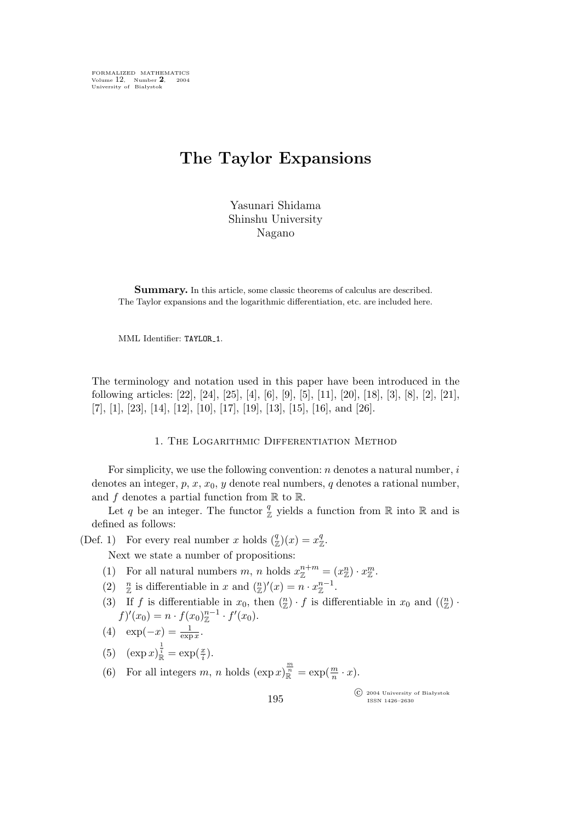FORMALIZED MATHEMATICS Volume 12, Number **2**, 2004 University of Białystok

# **The Taylor Expansions**

Yasunari Shidama Shinshu University Nagano

**Summary.** In this article, some classic theorems of calculus are described. The Taylor expansions and the logarithmic differentiation, etc. are included here.

MML Identifier: TAYLOR\_1.

The terminology and notation used in this paper have been introduced in the following articles: [22], [24], [25], [4], [6], [9], [5], [11], [20], [18], [3], [8], [2], [21],  $[7], [1], [23], [14], [12], [10], [17], [19], [13], [15], [16], \text{and } [26].$ 

#### 1. The Logarithmic Differentiation Method

For simplicity, we use the following convention:  $n$  denotes a natural number,  $i$ denotes an integer,  $p, x, x_0, y$  denote real numbers, q denotes a rational number, and  $f$  denotes a partial function from  $\mathbb R$  to  $\mathbb R$ .

Let q be an integer. The functor  $\frac{q}{\mathbb{Z}}$  yields a function from  $\mathbb R$  into  $\mathbb R$  and is defined as follows:

(Def. 1) For every real number x holds  $\binom{q}{z}$  $\binom{q}{\mathbb{Z}}(x) = x_{\mathbb{Z}}^q$  $^q_{\mathbb{Z}}.$ 

Next we state a number of propositions:

- (1) For all natural numbers  $m$ ,  $n$  holds  $x_{\mathbb{Z}}^{n+m} = (x_{\mathbb{Z}}^n) \cdot x_{\mathbb{Z}}^m$ .
- (2)  $\frac{n}{\mathbb{Z}}$  is differentiable in x and  $\binom{n}{\mathbb{Z}}'(x) = n \cdot x_{\mathbb{Z}}^{n-1}$ .
- (3) If f is differentiable in  $x_0$ , then  $\binom{n}{\mathbb{Z}} \cdot f$  is differentiable in  $x_0$  and  $\binom{n}{\mathbb{Z}} \cdot f$  $f)'(x_0) = n \cdot f(x_0)_{\mathbb{Z}}^{n-1} \cdot f'(x_0).$
- (4)  $\exp(-x) = \frac{1}{\exp x}$ .
- (5)  $(\exp x)^{\frac{1}{i}}_{\mathbb{R}} = \exp(\frac{x}{i})$  $\frac{x}{i}$ .

(6) For all integers  $m, n$  holds  $(\exp x)^{\frac{m}{n}}_{\mathbb{R}} = \exp(\frac{m}{n})$  $\frac{m}{n} \cdot x$ .

> °c 2004 University of Białystok ISSN 1426–2630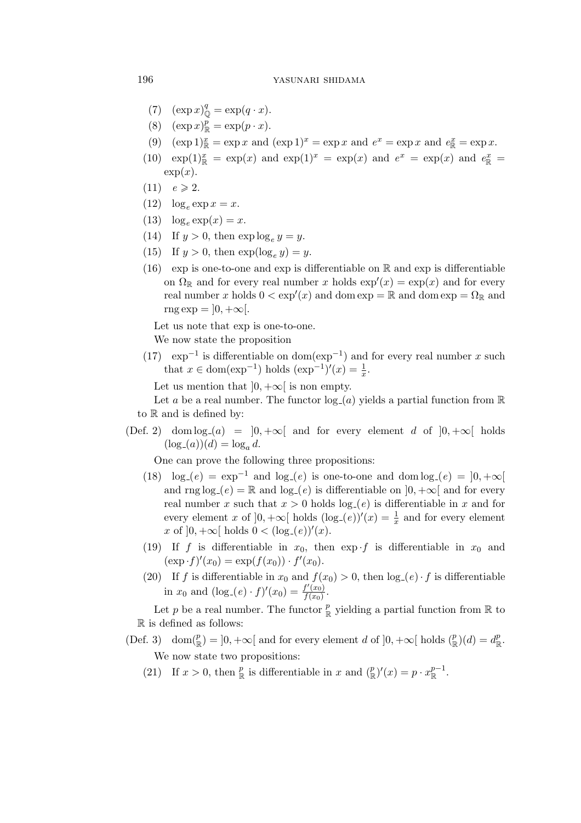### 196 yasunari shidama

- (7)  $(\exp x)_{\mathbb{Q}}^q = \exp(q \cdot x).$
- (8)  $(\exp x)^p_{\mathbb{R}} = \exp(p \cdot x).$
- (9)  $(\exp 1)^x = \exp x$  and  $(\exp 1)^x = \exp x$  and  $e^x = \exp x$  and  $e^x = \exp x$ .
- (10)  $\exp(1)^x = \exp(x)$  and  $\exp(1)^x = \exp(x)$  and  $e^x = \exp(x)$  and  $e^x = \exp(x)$  $\exp(x)$ .
- $(11)$   $e \ge 2$ .
- (12)  $\log_e \exp x = x$ .
- (13)  $\log_e \exp(x) = x$ .
- (14) If  $y > 0$ , then  $\exp \log_e y = y$ .
- (15) If  $y > 0$ , then  $\exp(\log_e y) = y$ .
- (16) exp is one-to-one and exp is differentiable on  $\mathbb R$  and exp is differentiable on  $\Omega_{\mathbb{R}}$  and for every real number x holds  $\exp'(x) = \exp(x)$  and for every real number x holds  $0 < \exp'(x)$  and dom  $\exp = \mathbb{R}$  and dom  $\exp = \Omega_{\mathbb{R}}$  and  $\text{rng exp} = \frac{10, +\infty}{.}$

Let us note that exp is one-to-one.

We now state the proposition

(17)  $\exp^{-1}$  is differentiable on dom( $\exp^{-1}$ ) and for every real number x such that  $x \in \text{dom}(\exp^{-1})$  holds  $(\exp^{-1})'(x) = \frac{1}{x}$ .

Let us mention that  $]0, +\infty[$  is non empty.

Let a be a real number. The functor  $log_a(a)$  yields a partial function from R to  $\mathbb R$  and is defined by:

(Def. 2) dom  $log_{a}(a) = |0, +\infty|$  and for every element d of  $|0, +\infty|$  holds  $(\log_{a}(a))(d) = \log_{a} d.$ 

One can prove the following three propositions:

- (18)  $\log_{1}(e) = \exp^{-1}$  and  $\log_{1}(e)$  is one-to-one and dom  $\log_{1}(e) = [0, +\infty)$ and rng  $log_{e}(e) = \mathbb{R}$  and  $log_{e}(e)$  is differentiable on  $]0, +\infty[$  and for every real number x such that  $x > 0$  holds  $log_{e}(e)$  is differentiable in x and for every element x of  $]0, +\infty[$  holds  $(\log_{-}(e))'(x) = \frac{1}{x}$  and for every element  $x \text{ of } ]0, +\infty[ \text{ holds } 0 < (\log_{-}(e))'(x).$
- (19) If f is differentiable in  $x_0$ , then  $\exp\left\{\frac{1}{s}\right\}$  is differentiable in  $x_0$  and  $(\exp f)'(x_0) = \exp(f(x_0)) \cdot f'(x_0).$
- (20) If f is differentiable in  $x_0$  and  $f(x_0) > 0$ , then  $\log_{\epsilon}(e) \cdot f$  is differentiable in  $x_0$  and  $(\log_{1}(e) \cdot f)'(x_0) = \frac{f'(x_0)}{f(x_0)}$  $\frac{f(x_0)}{f(x_0)}$ .

Let p be a real number. The functor  $\frac{p}{\mathbb{R}}$  yielding a partial function from  $\mathbb R$  to  $\mathbb R$  is defined as follows:

- $(\text{Def. 3}) \quad \text{dom}(\mathcal{P})$  $(\mathbf{R}^p) = [0, +\infty[$  and for every element d of  $]0, +\infty[$  holds  $(\mathbf{R}^p)$  $\binom{p}{\mathbb{R}}(d) = d_{\mathbb{R}}^p$  $_{\mathbb{R}}^{p}.$ We now state two propositions:
	- (21) If  $x > 0$ , then  $\frac{p}{\mathbb{R}}$  is differentiable in x and  $\binom{p}{\mathbb{R}}$  $(\sum_{k=1}^{p} f'(x)) = p \cdot x_{\mathbb{R}}^{p-1}$  $\mathbb{R}^{p-1}$ .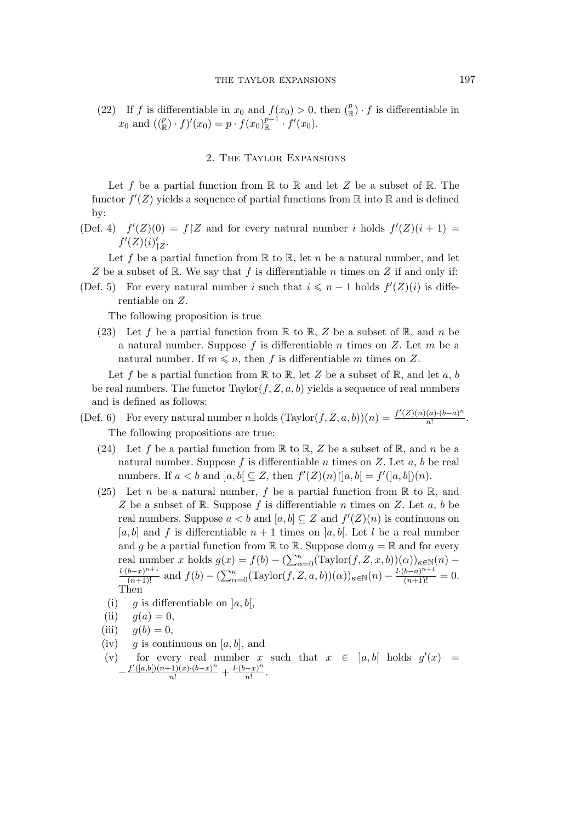(22) If f is differentiable in  $x_0$  and  $f(x_0) > 0$ , then  $\binom{p}{k}$  $(\mathbb{R}) \cdot f$  is differentiable in  $x_0$  and  $((\frac{p}{\mathbb{R}}) \cdot f)'(x_0) = p \cdot f(x_0) \frac{p-1}{\mathbb{R}}$  $_{\mathbb{R}}^{p-1} \cdot f'(x_0).$ 

# 2. The Taylor Expansions

Let f be a partial function from  $\mathbb R$  to  $\mathbb R$  and let Z be a subset of  $\mathbb R$ . The functor  $f'(Z)$  yields a sequence of partial functions from  $\mathbb R$  into  $\mathbb R$  and is defined by:

(Def. 4)  $f'(Z)(0) = f\upharpoonright Z$  and for every natural number i holds  $f'(Z)(i+1) =$  $f'(Z)(i)'_1$ ,<br>∣Z∙

Let f be a partial function from  $\mathbb R$  to  $\mathbb R$ , let n be a natural number, and let Z be a subset of R. We say that f is differentiable n times on Z if and only if:

(Def. 5) For every natural number i such that  $i \leq n-1$  holds  $f'(Z)(i)$  is differentiable on Z.

The following proposition is true

(23) Let f be a partial function from  $\mathbb R$  to  $\mathbb R$ , Z be a subset of  $\mathbb R$ , and n be a natural number. Suppose f is differentiable n times on  $Z$ . Let  $m$  be a natural number. If  $m \leq n$ , then f is differentiable m times on Z.

Let f be a partial function from  $\mathbb R$  to  $\mathbb R$ , let Z be a subset of  $\mathbb R$ , and let a, b be real numbers. The functor  $Taylor(f, Z, a, b)$  yields a sequence of real numbers and is defined as follows:

- (Def. 6) For every natural number n holds  $(\text{Taylor}(f, Z, a, b))(n) = \frac{f'(Z)(n)(a) \cdot (b-a)^n}{n!}$  $\frac{(a)\cdot(b-a)^n}{n!}$ . The following propositions are true:
	- (24) Let f be a partial function from  $\mathbb R$  to  $\mathbb R$ , Z be a subset of  $\mathbb R$ , and n be a natural number. Suppose f is differentiable n times on Z. Let  $a, b$  be real numbers. If  $a < b$  and  $[a, b] \subseteq Z$ , then  $f'(Z)(n) \cap [a, b] = f'(a, b')(n)$ .
	- (25) Let n be a natural number, f be a partial function from  $\mathbb R$  to  $\mathbb R$ , and Z be a subset of R. Suppose f is differentiable n times on Z. Let  $a, b$  be real numbers. Suppose  $a < b$  and  $[a, b] \subseteq Z$  and  $f'(Z)(n)$  is continuous on [a, b] and f is differentiable  $n + 1$  times on [a, b]. Let l be a real number and g be a partial function from  $\mathbb R$  to  $\mathbb R$ . Suppose dom  $g = \mathbb R$  and for every real number x holds  $g(x) = f(b) - (\sum_{\alpha=0}^{\kappa} (\text{Taylor}(f, Z, x, b))(\alpha))_{\kappa \in \mathbb{N}}(n) -$ <br> $\frac{l \cdot (b-x)^{n+1}}{(n+1)!}$  and  $f(b) - (\sum_{\alpha=0}^{\kappa} (\text{Taylor}(f, Z, a, b))(\alpha))_{\kappa \in \mathbb{N}}(n) - \frac{l \cdot (b-a)^{n+1}}{(n+1)!} = 0.$ Then
		- (i) q is differentiable on  $[a, b],$
		- (ii)  $q(a) = 0$ ,
	- (iii)  $g(b) = 0$ ,
	- (iv) g is continuous on [a, b], and
	- (v) for every real number x such that  $x \in [a, b]$  holds  $g'(x) =$  $-\frac{f'(a,b)(n+1)(x)\cdot(b-x)^n}{n!} + \frac{l\cdot(b-x)^n}{n!}$  $\frac{-x)^n}{n!}$ .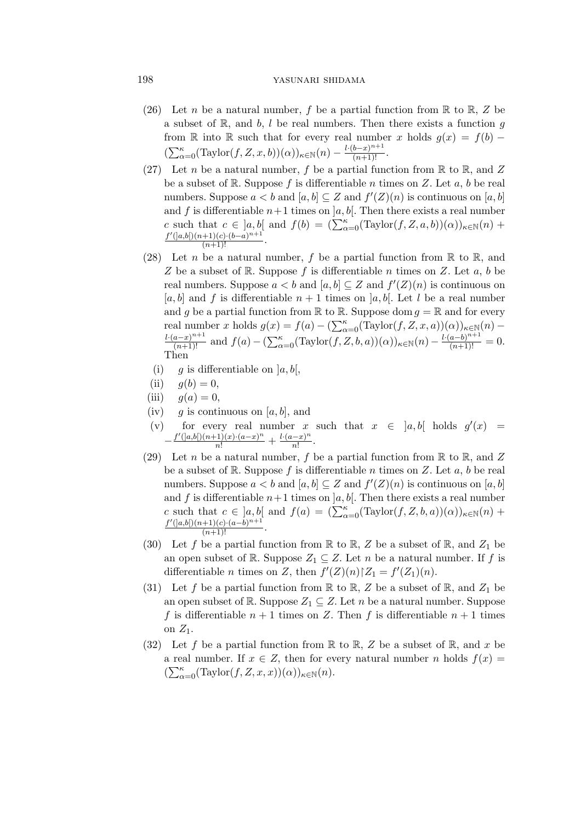# 198 yasunari shidama

- (26) Let n be a natural number, f be a partial function from  $\mathbb R$  to  $\mathbb R$ , Z be a subset of  $\mathbb{R}$ , and b, l be real numbers. Then there exists a function g from R into R such that for every real number x holds  $g(x) = f(b) (\sum_{\alpha=0}^{\kappa}(\text{Taylor}(f, Z, x, b))(\alpha))_{\kappa \in \mathbb{N}}(n) - \frac{l \cdot (b-x)^{n+1}}{(n+1)!}.$
- (27) Let *n* be a natural number, *f* be a partial function from  $\mathbb R$  to  $\mathbb R$ , and Z be a subset of R. Suppose f is differentiable n times on Z. Let a, b be real numbers. Suppose  $a < b$  and  $[a, b] \subseteq Z$  and  $f'(Z)(n)$  is continuous on  $[a, b]$ and f is differentiable  $n+1$  times on  $[a, b]$ . Then there exists a real number c such that  $c \in [a, b]$  and  $f(b) = (\sum_{\alpha=0}^{\kappa} (\text{Taylor}(f, Z, a, b))(\alpha))_{\kappa \in \mathbb{N}}(n) + \frac{f'(a,b)(n+1)(c) \cdot (b-a)^{n+1}}{(n+1)!}$ .
- (28) Let n be a natural number, f be a partial function from  $\mathbb R$  to  $\mathbb R$ , and Z be a subset of  $\mathbb R$ . Suppose f is differentiable n times on Z. Let a, b be real numbers. Suppose  $a < b$  and  $[a, b] \subseteq Z$  and  $f'(Z)(n)$  is continuous on [a, b] and f is differentiable  $n + 1$  times on [a, b]. Let l be a real number and q be a partial function from  $\mathbb R$  to  $\mathbb R$ . Suppose dom  $q = \mathbb R$  and for every real number x holds  $g(x) = f(a) - (\sum_{\alpha=0}^{\kappa} (\text{Taylor}(f, Z, x, a))(\alpha))_{\kappa \in \mathbb{N}}(n) -$ <br> $\frac{l \cdot (a-x)^{n+1}}{(n+1)!}$  and  $f(a) - (\sum_{\alpha=0}^{\kappa} (\text{Taylor}(f, Z, b, a))(\alpha))_{\kappa \in \mathbb{N}}(n) - \frac{l \cdot (a-b)^{n+1}}{(n+1)!} = 0.$ Then
	- (i) g is differentiable on  $[a, b],$
	- (ii)  $g(b) = 0$ ,
- (iii)  $g(a) = 0$ ,
- (iv) g is continuous on [a, b], and
- (v) for every real number x such that  $x \in [a, b]$  holds  $g'(x) =$  $-\frac{f'(a,b)(n+1)}{n!}$  +  $\frac{l \cdot (a-x)^n}{n!}$  $\frac{(-x)^n}{n!}$ .
- (29) Let n be a natural number, f be a partial function from  $\mathbb R$  to  $\mathbb R$ , and Z be a subset of  $\mathbb R$ . Suppose f is differentiable n times on Z. Let a, b be real numbers. Suppose  $a < b$  and  $[a, b] \subseteq Z$  and  $f'(Z)(n)$  is continuous on  $[a, b]$ and f is differentiable  $n+1$  times on  $[a, b]$ . Then there exists a real number c such that  $c \in [a, b]$  and  $f(a) = (\sum_{\alpha=0}^{\kappa} (Taylor(f, Z, b, a))(\alpha))_{\kappa \in \mathbb{N}}(n)$  +  $\frac{f'(a,b)(n+1)(c) \cdot (a-b)^{n+1}}{(n+1)!}$ .
- (30) Let f be a partial function from  $\mathbb R$  to  $\mathbb R$ , Z be a subset of  $\mathbb R$ , and  $Z_1$  be an open subset of R. Suppose  $Z_1 \subseteq Z$ . Let n be a natural number. If f is differentiable *n* times on *Z*, then  $f'(Z)(n) \upharpoonright Z_1 = f'(Z_1)(n)$ .
- (31) Let f be a partial function from  $\mathbb R$  to  $\mathbb R$ , Z be a subset of  $\mathbb R$ , and  $Z_1$  be an open subset of R. Suppose  $Z_1 \subseteq Z$ . Let n be a natural number. Suppose f is differentiable  $n + 1$  times on Z. Then f is differentiable  $n + 1$  times on  $Z_1$ .
- (32) Let f be a partial function from  $\mathbb R$  to  $\mathbb R$ , Z be a subset of  $\mathbb R$ , and x be a real number. If  $x \in Z$ , then for every natural number n holds  $f(x) =$  $(\sum_{\alpha=0}^{\kappa}(\text{Taylor}(f, Z, x, x))(\alpha))_{\kappa \in \mathbb{N}}(n).$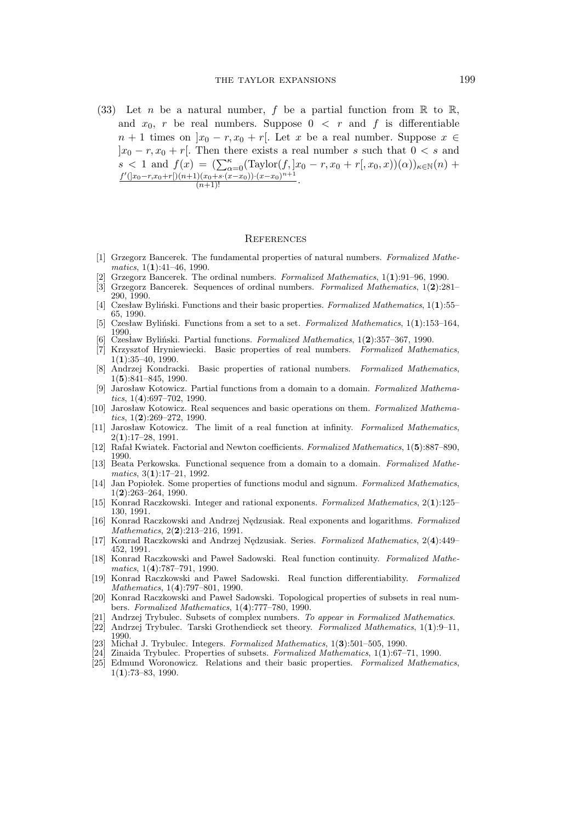(33) Let n be a natural number, f be a partial function from  $\mathbb R$  to  $\mathbb R$ , and  $x_0$ , r be real numbers. Suppose  $0 \lt r$  and f is differentiable  $n + 1$  times on  $|x_0 - r, x_0 + r|$ . Let x be a real number. Suppose  $x \in$  $|x_0 - r, x_0 + r|$ . Then there exists a real number s such that  $0 < s$  and  $s < 1$  and  $f(x) = \left(\sum_{\alpha=0}^{\kappa} (\text{Taylor}(f, |x_0 - r, x_0 + r(x_0, x)))(\alpha)\right)_{\kappa \in \mathbb{N}}(n) + \frac{f'(|x_0 - r, x_0 + r(x_0, x + r(x_0, x_0))}{(n+1)!}$ .

#### **REFERENCES**

- [1] Grzegorz Bancerek. The fundamental properties of natural numbers. *Formalized Mathematics*, 1(**1**):41–46, 1990.
- [2] Grzegorz Bancerek. The ordinal numbers. *Formalized Mathematics*, 1(**1**):91–96, 1990.
- [3] Grzegorz Bancerek. Sequences of ordinal numbers. *Formalized Mathematics*, 1(**2**):281– 290, 1990.
- [4] Czesław Byliński. Functions and their basic properties. *Formalized Mathematics*, 1(**1**):55– 65, 1990.
- [5] Czesław Byliński. Functions from a set to a set. *Formalized Mathematics*, 1(**1**):153–164, 1990. [6] Czesław Byliński. Partial functions. *Formalized Mathematics*, 1(**2**):357–367, 1990.
- [7] Krzysztof Hryniewiecki. Basic properties of real numbers. *Formalized Mathematics*, 1(**1**):35–40, 1990.
- [8] Andrzej Kondracki. Basic properties of rational numbers. *Formalized Mathematics*, 1(**5**):841–845, 1990.
- [9] Jarosław Kotowicz. Partial functions from a domain to a domain. *Formalized Mathematics*, 1(**4**):697–702, 1990.
- [10] Jarosław Kotowicz. Real sequences and basic operations on them. *Formalized Mathematics*, 1(**2**):269–272, 1990.
- [11] Jarosław Kotowicz. The limit of a real function at infinity. *Formalized Mathematics*, 2(**1**):17–28, 1991.
- [12] Rafał Kwiatek. Factorial and Newton coefficients. *Formalized Mathematics*, 1(**5**):887–890, 1990.
- [13] Beata Perkowska. Functional sequence from a domain to a domain. *Formalized Mathematics*, 3(**1**):17–21, 1992.
- [14] Jan Popiołek. Some properties of functions modul and signum. *Formalized Mathematics*, 1(**2**):263–264, 1990.
- [15] Konrad Raczkowski. Integer and rational exponents. *Formalized Mathematics*, 2(**1**):125– 130, 1991.
- [16] Konrad Raczkowski and Andrzej Nędzusiak. Real exponents and logarithms. *Formalized Mathematics*, 2(**2**):213–216, 1991.
- [17] Konrad Raczkowski and Andrzej Nędzusiak. Series. *Formalized Mathematics*, 2(**4**):449– 452, 1991.
- [18] Konrad Raczkowski and Paweł Sadowski. Real function continuity. *Formalized Mathematics*, 1(**4**):787–791, 1990.
- [19] Konrad Raczkowski and Paweł Sadowski. Real function differentiability. *Formalized Mathematics*, 1(**4**):797–801, 1990.
- [20] Konrad Raczkowski and Paweł Sadowski. Topological properties of subsets in real numbers. *Formalized Mathematics*, 1(**4**):777–780, 1990.
- [21] Andrzej Trybulec. Subsets of complex numbers. *To appear in Formalized Mathematics*.
- [22] Andrzej Trybulec. Tarski Grothendieck set theory. *Formalized Mathematics*, 1(**1**):9–11, 1990.
- [23] Michał J. Trybulec. Integers. *Formalized Mathematics*, 1(**3**):501–505, 1990.
- [24] Zinaida Trybulec. Properties of subsets. *Formalized Mathematics*, 1(**1**):67–71, 1990.
- [25] Edmund Woronowicz. Relations and their basic properties. *Formalized Mathematics*, 1(**1**):73–83, 1990.